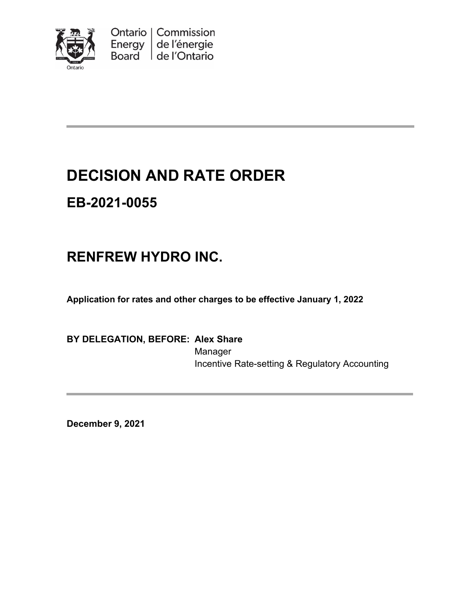

Ontario | Commission Energy  $\vert$  de l'énergie Board de l'Ontario

# **DECISION AND RATE ORDER**

# **EB-2021-0055**

# **RENFREW HYDRO INC.**

**Application for rates and other charges to be effective January 1, 2022**

### **BY DELEGATION, BEFORE: Alex Share**

Manager Incentive Rate-setting & Regulatory Accounting

**December 9, 2021**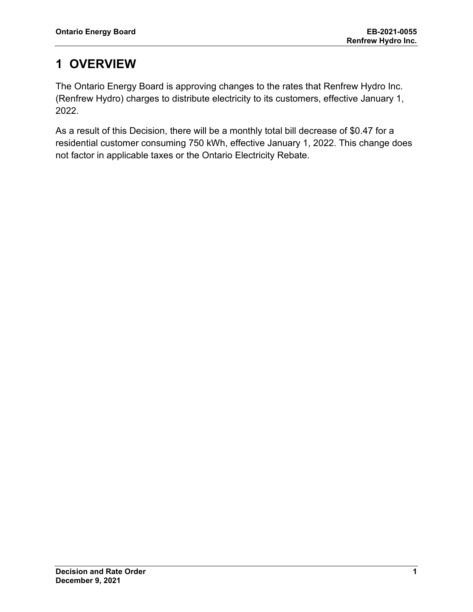## **1 OVERVIEW**

The Ontario Energy Board is approving changes to the rates that Renfrew Hydro Inc. (Renfrew Hydro) charges to distribute electricity to its customers, effective January 1, 2022.

As a result of this Decision, there will be a monthly total bill decrease of \$0.47 for a residential customer consuming 750 kWh, effective January 1, 2022. This change does not factor in applicable taxes or the Ontario Electricity Rebate.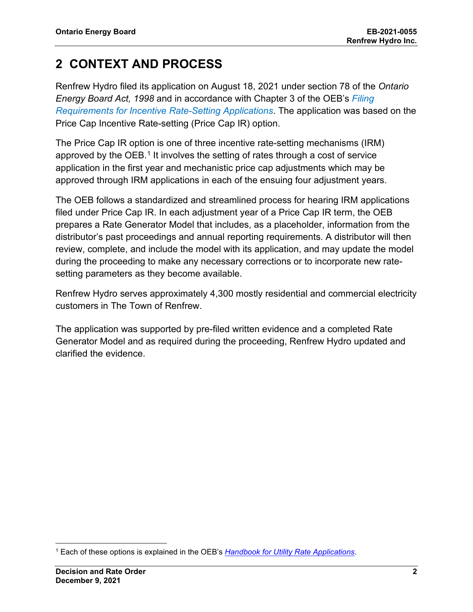## **2 CONTEXT AND PROCESS**

Renfrew Hydro filed its application on August 18, 2021 under section 78 of the *Ontario Energy Board Act, 1998* and in accordance with Chapter 3 of the OEB's *[Filing](https://www.oeb.ca/sites/default/files/Chapter-3-Filing-Requirements-20200514.pdf)  [Requirements for Incentive Rate-Setting Applications](https://www.oeb.ca/sites/default/files/Chapter-3-Filing-Requirements-20200514.pdf)*. The application was based on the Price Cap Incentive Rate-setting (Price Cap IR) option.

The Price Cap IR option is one of three incentive rate-setting mechanisms (IRM) approved by the OEB.<sup>[1](#page-2-0)</sup> It involves the setting of rates through a cost of service application in the first year and mechanistic price cap adjustments which may be approved through IRM applications in each of the ensuing four adjustment years.

The OEB follows a standardized and streamlined process for hearing IRM applications filed under Price Cap IR. In each adjustment year of a Price Cap IR term, the OEB prepares a Rate Generator Model that includes, as a placeholder, information from the distributor's past proceedings and annual reporting requirements. A distributor will then review, complete, and include the model with its application, and may update the model during the proceeding to make any necessary corrections or to incorporate new ratesetting parameters as they become available.

Renfrew Hydro serves approximately 4,300 mostly residential and commercial electricity customers in The Town of Renfrew.

The application was supported by pre-filed written evidence and a completed Rate Generator Model and as required during the proceeding, Renfrew Hydro updated and clarified the evidence.

<span id="page-2-0"></span><sup>1</sup> Each of these options is explained in the OEB's *[Handbook for Utility Rate Applications](https://www.oeb.ca/industry/rules-codes-and-requirements/handbook-utility-rate-applications)*.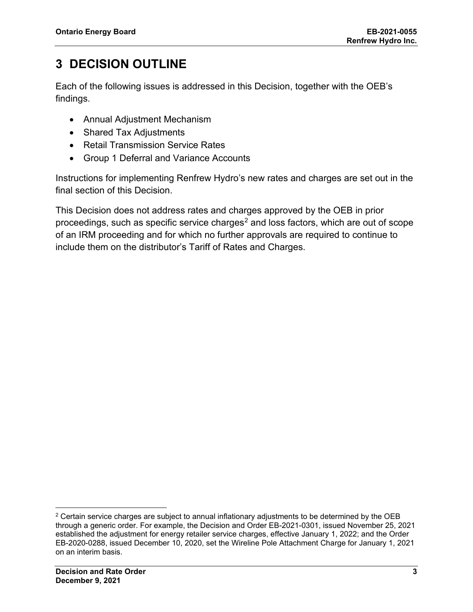## **3 DECISION OUTLINE**

Each of the following issues is addressed in this Decision, together with the OEB's findings.

- Annual Adjustment Mechanism
- Shared Tax Adjustments
- Retail Transmission Service Rates
- Group 1 Deferral and Variance Accounts

Instructions for implementing Renfrew Hydro's new rates and charges are set out in the final section of this Decision.

This Decision does not address rates and charges approved by the OEB in prior proceedings, such as specific service charges<sup>[2](#page-3-0)</sup> and loss factors, which are out of scope of an IRM proceeding and for which no further approvals are required to continue to include them on the distributor's Tariff of Rates and Charges.

<span id="page-3-0"></span> $2$  Certain service charges are subject to annual inflationary adjustments to be determined by the OEB through a generic order. For example, the Decision and Order EB-2021-0301, issued November 25, 2021 established the adjustment for energy retailer service charges, effective January 1, 2022; and the Order EB-2020-0288, issued December 10, 2020, set the Wireline Pole Attachment Charge for January 1, 2021 on an interim basis.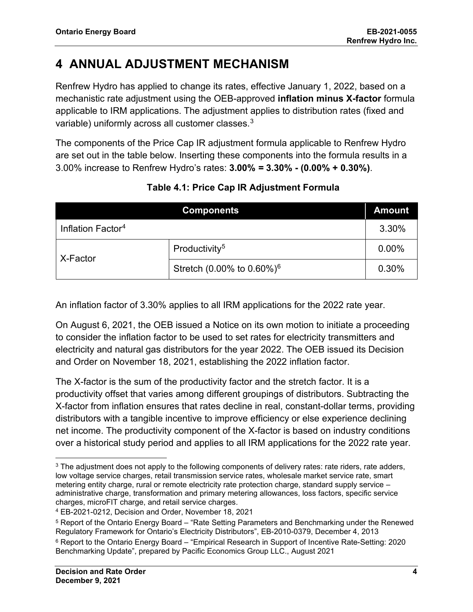## **4 ANNUAL ADJUSTMENT MECHANISM**

Renfrew Hydro has applied to change its rates, effective January 1, 2022, based on a mechanistic rate adjustment using the OEB-approved **inflation minus X-factor** formula applicable to IRM applications. The adjustment applies to distribution rates (fixed and variable) uniformly across all customer classes.<sup>[3](#page-4-0)</sup>

The components of the Price Cap IR adjustment formula applicable to Renfrew Hydro are set out in the table below. Inserting these components into the formula results in a 3.00% increase to Renfrew Hydro's rates: **3.00%** *=* **3.30% - (0.00% + 0.30%)**.

|                               | <b>Components</b>                         | <b>Amount</b> |
|-------------------------------|-------------------------------------------|---------------|
| Inflation Factor <sup>4</sup> |                                           | 3.30%         |
| X-Factor                      | Productivity <sup>5</sup>                 | $0.00\%$      |
|                               | Stretch (0.00% to $0.60\%$ ) <sup>6</sup> | 0.30%         |

### **Table 4.1: Price Cap IR Adjustment Formula**

An inflation factor of 3.30% applies to all IRM applications for the 2022 rate year.

On August 6, 2021, the OEB issued a Notice on its own motion to initiate a proceeding to consider the inflation factor to be used to set rates for electricity transmitters and electricity and natural gas distributors for the year 2022. The OEB issued its Decision and Order on November 18, 2021, establishing the 2022 inflation factor.

The X-factor is the sum of the productivity factor and the stretch factor. It is a productivity offset that varies among different groupings of distributors. Subtracting the X-factor from inflation ensures that rates decline in real, constant-dollar terms, providing distributors with a tangible incentive to improve efficiency or else experience declining net income. The productivity component of the X-factor is based on industry conditions over a historical study period and applies to all IRM applications for the 2022 rate year.

<span id="page-4-0"></span><sup>&</sup>lt;sup>3</sup> The adjustment does not apply to the following components of delivery rates: rate riders, rate adders, low voltage service charges, retail transmission service rates, wholesale market service rate, smart metering entity charge, rural or remote electricity rate protection charge, standard supply service – administrative charge, transformation and primary metering allowances, loss factors, specific service charges, microFIT charge, and retail service charges.

<span id="page-4-1"></span><sup>4</sup> EB-2021-0212, Decision and Order, November 18, 2021

<span id="page-4-2"></span><sup>5</sup> Report of the Ontario Energy Board – "Rate Setting Parameters and Benchmarking under the Renewed Regulatory Framework for Ontario's Electricity Distributors", EB-2010-0379, December 4, 2013

<span id="page-4-4"></span><span id="page-4-3"></span><sup>6</sup> Report to the Ontario Energy Board – "Empirical Research in Support of Incentive Rate-Setting: 2020 Benchmarking Update", prepared by Pacific Economics Group LLC., August 2021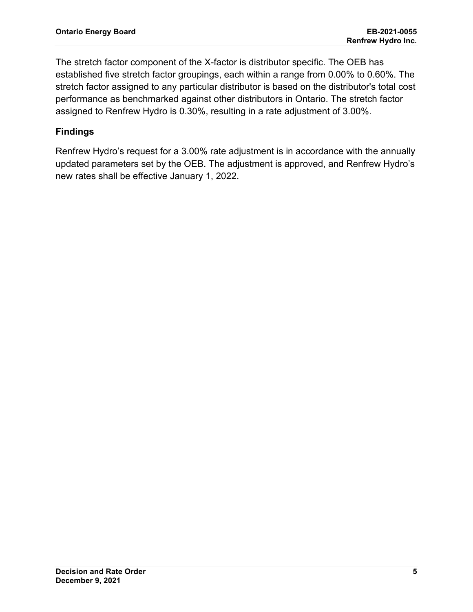The stretch factor component of the X-factor is distributor specific. The OEB has established five stretch factor groupings, each within a range from 0.00% to 0.60%. The stretch factor assigned to any particular distributor is based on the distributor's total cost performance as benchmarked against other distributors in Ontario. The stretch factor assigned to Renfrew Hydro is 0.30%, resulting in a rate adjustment of 3.00%.

### **Findings**

Renfrew Hydro's request for a 3.00% rate adjustment is in accordance with the annually updated parameters set by the OEB. The adjustment is approved, and Renfrew Hydro's new rates shall be effective January 1, 2022.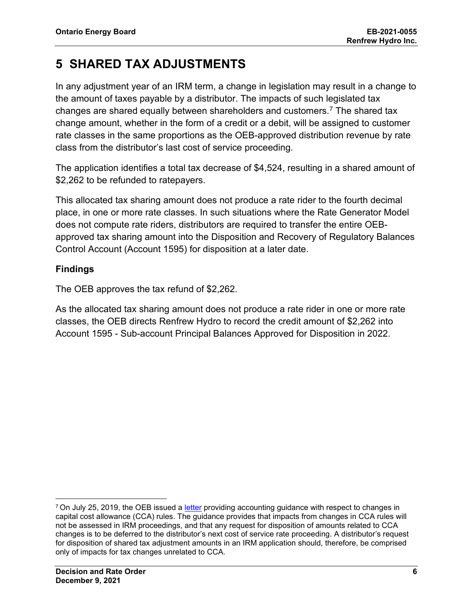## **5 SHARED TAX ADJUSTMENTS**

In any adjustment year of an IRM term, a change in legislation may result in a change to the amount of taxes payable by a distributor. The impacts of such legislated tax changes are shared equally between shareholders and customers.<sup>[7](#page-6-0)</sup> The shared tax change amount, whether in the form of a credit or a debit, will be assigned to customer rate classes in the same proportions as the OEB-approved distribution revenue by rate class from the distributor's last cost of service proceeding.

The application identifies a total tax decrease of \$4,524, resulting in a shared amount of \$2,262 to be refunded to ratepayers.

This allocated tax sharing amount does not produce a rate rider to the fourth decimal place, in one or more rate classes. In such situations where the Rate Generator Model does not compute rate riders, distributors are required to transfer the entire OEBapproved tax sharing amount into the Disposition and Recovery of Regulatory Balances Control Account (Account 1595) for disposition at a later date.

### **Findings**

The OEB approves the tax refund of \$2,262.

As the allocated tax sharing amount does not produce a rate rider in one or more rate classes, the OEB directs Renfrew Hydro to record the credit amount of \$2,262 into Account 1595 - Sub-account Principal Balances Approved for Disposition in 2022.

<span id="page-6-0"></span> $7$  On July 25, 2019, the OEB issued a [letter](https://www.oeb.ca/sites/default/files/OEBltr-Acctng-Guidance-Bill-C97-20190725.pdf) providing accounting guidance with respect to changes in capital cost allowance (CCA) rules. The guidance provides that impacts from changes in CCA rules will not be assessed in IRM proceedings, and that any request for disposition of amounts related to CCA changes is to be deferred to the distributor's next cost of service rate proceeding. A distributor's request for disposition of shared tax adjustment amounts in an IRM application should, therefore, be comprised only of impacts for tax changes unrelated to CCA.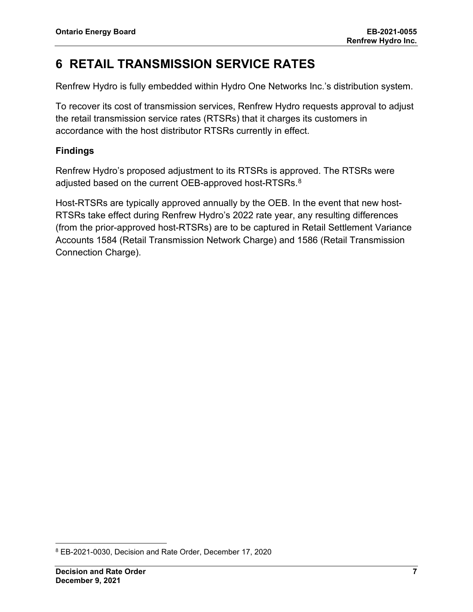## **6 RETAIL TRANSMISSION SERVICE RATES**

Renfrew Hydro is fully embedded within Hydro One Networks Inc.'s distribution system.

To recover its cost of transmission services, Renfrew Hydro requests approval to adjust the retail transmission service rates (RTSRs) that it charges its customers in accordance with the host distributor RTSRs currently in effect.

### **Findings**

Renfrew Hydro's proposed adjustment to its RTSRs is approved. The RTSRs were adjusted based on the current OEB-approved host-RTSRs. $^8$  $^8$ 

Host-RTSRs are typically approved annually by the OEB. In the event that new host-RTSRs take effect during Renfrew Hydro's 2022 rate year, any resulting differences (from the prior-approved host-RTSRs) are to be captured in Retail Settlement Variance Accounts 1584 (Retail Transmission Network Charge) and 1586 (Retail Transmission Connection Charge).

<span id="page-7-0"></span><sup>8</sup> EB-2021-0030, Decision and Rate Order, December 17, 2020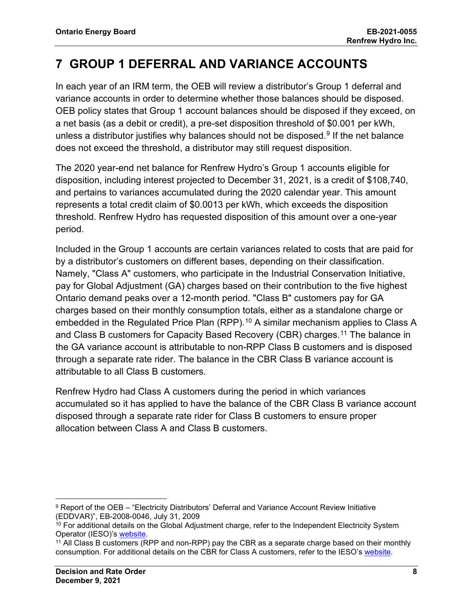## **7 GROUP 1 DEFERRAL AND VARIANCE ACCOUNTS**

In each year of an IRM term, the OEB will review a distributor's Group 1 deferral and variance accounts in order to determine whether those balances should be disposed. OEB policy states that Group 1 account balances should be disposed if they exceed, on a net basis (as a debit or credit), a pre-set disposition threshold of \$0.001 per kWh, unless a distributor justifies why balances should not be disposed.<sup>[9](#page-8-0)</sup> If the net balance does not exceed the threshold, a distributor may still request disposition.

The 2020 year-end net balance for Renfrew Hydro's Group 1 accounts eligible for disposition, including interest projected to December 31, 2021, is a credit of \$108,740, and pertains to variances accumulated during the 2020 calendar year. This amount represents a total credit claim of \$0.0013 per kWh, which exceeds the disposition threshold. Renfrew Hydro has requested disposition of this amount over a one-year period.

Included in the Group 1 accounts are certain variances related to costs that are paid for by a distributor's customers on different bases, depending on their classification. Namely, "Class A" customers, who participate in the Industrial Conservation Initiative, pay for Global Adjustment (GA) charges based on their contribution to the five highest Ontario demand peaks over a 12-month period. "Class B" customers pay for GA charges based on their monthly consumption totals, either as a standalone charge or embedded in the Regulated Price Plan (RPP).<sup>[10](#page-8-1)</sup> A similar mechanism applies to Class A and Class B customers for Capacity Based Recovery (CBR) charges.[11](#page-8-2) The balance in the GA variance account is attributable to non-RPP Class B customers and is disposed through a separate rate rider. The balance in the CBR Class B variance account is attributable to all Class B customers.

Renfrew Hydro had Class A customers during the period in which variances accumulated so it has applied to have the balance of the CBR Class B variance account disposed through a separate rate rider for Class B customers to ensure proper allocation between Class A and Class B customers.

<span id="page-8-0"></span><sup>9</sup> Report of the OEB – "Electricity Distributors' Deferral and Variance Account Review Initiative (EDDVAR)", EB-2008-0046, July 31, 2009

<span id="page-8-1"></span><sup>&</sup>lt;sup>10</sup> For additional details on the Global Adjustment charge, refer to the Independent Electricity System Operator (IESO)'s [website.](https://www.ieso.ca/en/Power-Data/Price-Overview/Global-Adjustment)

<span id="page-8-2"></span><sup>&</sup>lt;sup>11</sup> All Class B customers (RPP and non-RPP) pay the CBR as a separate charge based on their monthly consumption. For additional details on the CBR for Class A customers, refer to the IESO's [website.](https://www.ieso.ca/en/Sector-Participants/Settlements/Capacity-Based-Recovery-Amount-for-Class-A)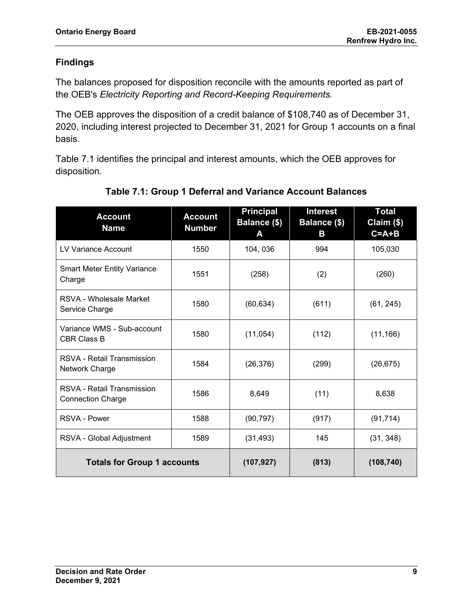### **Findings**

The balances proposed for disposition reconcile with the amounts reported as part of the OEB's *Electricity Reporting and Record-Keeping Requirements.*

The OEB approves the disposition of a credit balance of \$108,740 as of December 31, 2020, including interest projected to December 31, 2021 for Group 1 accounts on a final basis.

Table 7.1 identifies the principal and interest amounts, which the OEB approves for disposition.

| <b>Account</b><br><b>Name</b>                                 | <b>Account</b><br><b>Number</b> | <b>Principal</b><br><b>Balance (\$)</b><br>A | <u>Interest</u><br>Balance (\$)<br>в | Total<br>Claim (\$)<br>$C = A + B$ |
|---------------------------------------------------------------|---------------------------------|----------------------------------------------|--------------------------------------|------------------------------------|
| LV Variance Account                                           | 1550                            | 104, 036                                     | 994                                  | 105,030                            |
| <b>Smart Meter Entity Variance</b><br>Charge                  | 1551                            | (258)                                        | (2)                                  | (260)                              |
| RSVA - Wholesale Market<br>Service Charge                     | 1580                            | (60, 634)                                    | (611)                                | (61, 245)                          |
| Variance WMS - Sub-account<br><b>CBR Class B</b>              | 1580                            | (11, 054)                                    | (112)                                | (11, 166)                          |
| <b>RSVA - Retail Transmission</b><br>Network Charge           | 1584                            | (26, 376)                                    | (299)                                | (26, 675)                          |
| <b>RSVA - Retail Transmission</b><br><b>Connection Charge</b> | 1586                            | 8,649                                        | (11)                                 | 8,638                              |
| <b>RSVA - Power</b>                                           | 1588                            | (90, 797)                                    | (917)                                | (91, 714)                          |
| RSVA - Global Adjustment                                      | 1589                            | (31, 493)                                    | 145                                  | (31, 348)                          |
| <b>Totals for Group 1 accounts</b>                            |                                 | (107, 927)                                   | (813)                                | (108, 740)                         |

### **Table 7.1: Group 1 Deferral and Variance Account Balances**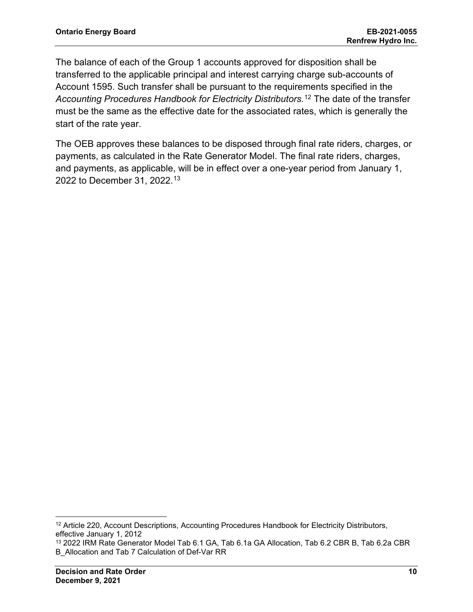The balance of each of the Group 1 accounts approved for disposition shall be transferred to the applicable principal and interest carrying charge sub-accounts of Account 1595. Such transfer shall be pursuant to the requirements specified in the *Accounting Procedures Handbook for Electricity Distributors.*[12](#page-10-0) The date of the transfer must be the same as the effective date for the associated rates, which is generally the start of the rate year.

The OEB approves these balances to be disposed through final rate riders, charges, or payments, as calculated in the Rate Generator Model. The final rate riders, charges, and payments, as applicable, will be in effect over a one-year period from January 1, 2022 to December 31, 2022. [13](#page-10-1)

<span id="page-10-0"></span><sup>&</sup>lt;sup>12</sup> Article 220, Account Descriptions, Accounting Procedures Handbook for Electricity Distributors, effective January 1, 2012

<span id="page-10-1"></span><sup>13</sup> 2022 IRM Rate Generator Model Tab 6.1 GA, Tab 6.1a GA Allocation, Tab 6.2 CBR B, Tab 6.2a CBR B\_Allocation and Tab 7 Calculation of Def-Var RR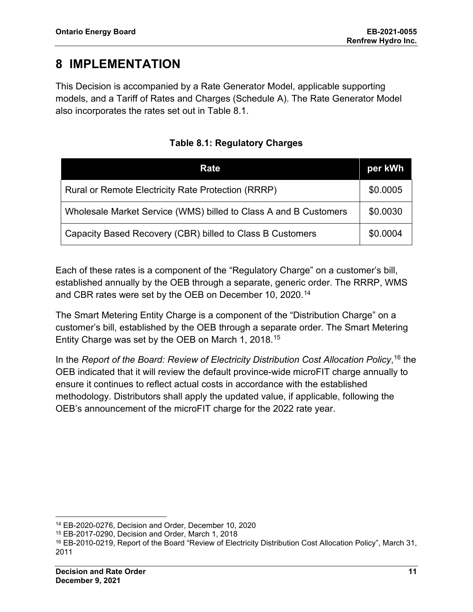## **8 IMPLEMENTATION**

This Decision is accompanied by a Rate Generator Model, applicable supporting models, and a Tariff of Rates and Charges (Schedule A). The Rate Generator Model also incorporates the rates set out in Table 8.1.

| Rate                                                             | per kWh  |
|------------------------------------------------------------------|----------|
| Rural or Remote Electricity Rate Protection (RRRP)               | \$0.0005 |
| Wholesale Market Service (WMS) billed to Class A and B Customers | \$0.0030 |
| Capacity Based Recovery (CBR) billed to Class B Customers        | \$0.0004 |

**Table 8.1: Regulatory Charges**

Each of these rates is a component of the "Regulatory Charge" on a customer's bill, established annually by the OEB through a separate, generic order. The RRRP, WMS and CBR rates were set by the OEB on December 10, 2020. [14](#page-11-0)

The Smart Metering Entity Charge is a component of the "Distribution Charge" on a customer's bill, established by the OEB through a separate order. The Smart Metering Entity Charge was set by the OEB on March 1, 2018.[15](#page-11-1)

In the *Report of the Board: Review of Electricity Distribution Cost Allocation Policy*, [16](#page-11-2) the OEB indicated that it will review the default province-wide microFIT charge annually to ensure it continues to reflect actual costs in accordance with the established methodology. Distributors shall apply the updated value, if applicable, following the OEB's announcement of the microFIT charge for the 2022 rate year.

<span id="page-11-0"></span><sup>14</sup> EB-2020-0276, Decision and Order, December 10, 2020

<span id="page-11-1"></span><sup>15</sup> EB-2017-0290, Decision and Order, March 1, 2018

<span id="page-11-2"></span><sup>16</sup> EB-2010-0219, Report of the Board "Review of Electricity Distribution Cost Allocation Policy", March 31, 2011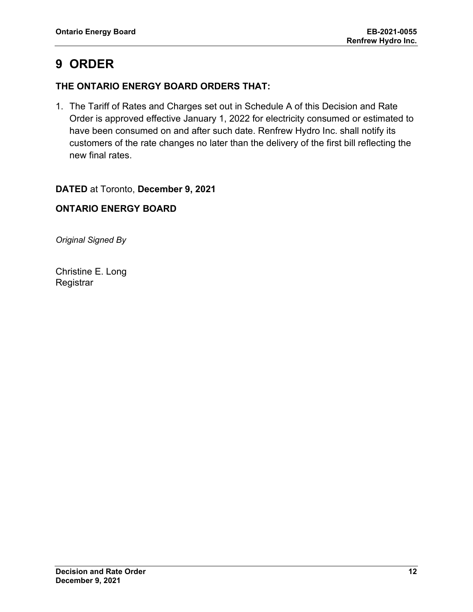## **9 ORDER**

### **THE ONTARIO ENERGY BOARD ORDERS THAT:**

1. The Tariff of Rates and Charges set out in Schedule A of this Decision and Rate Order is approved effective January 1, 2022 for electricity consumed or estimated to have been consumed on and after such date. Renfrew Hydro Inc. shall notify its customers of the rate changes no later than the delivery of the first bill reflecting the new final rates.

### **DATED** at Toronto, **December 9, 2021**

### **ONTARIO ENERGY BOARD**

*Original Signed By*

Christine E. Long **Registrar**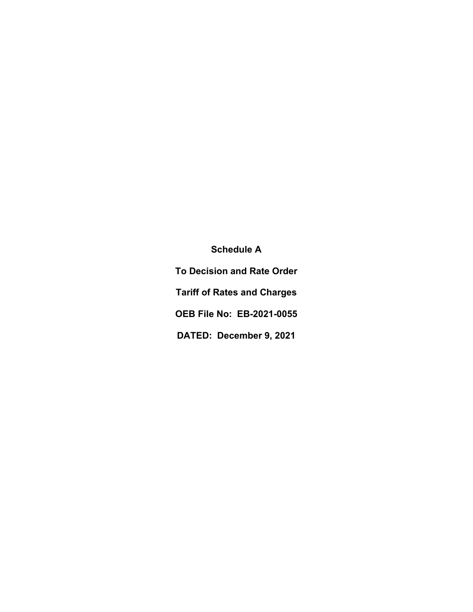**Schedule A To Decision and Rate Order Tariff of Rates and Charges OEB File No: EB-2021-0055 DATED: December 9, 2021**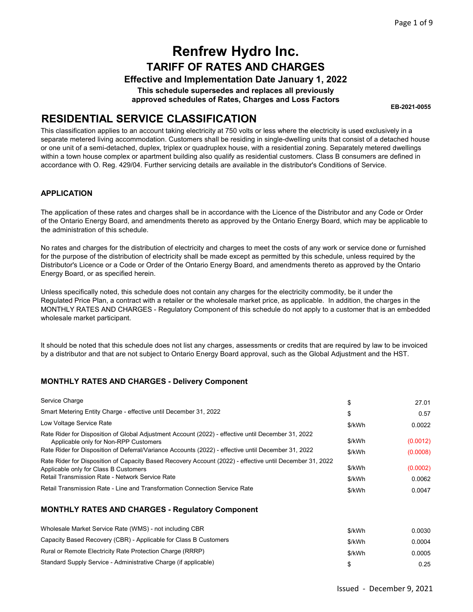#### Effective and Implementation Date January 1, 2022

This schedule supersedes and replaces all previously approved schedules of Rates, Charges and Loss Factors

EB-2021-0055

### RESIDENTIAL SERVICE CLASSIFICATION

This classification applies to an account taking electricity at 750 volts or less where the electricity is used exclusively in a separate metered living accommodation. Customers shall be residing in single-dwelling units that consist of a detached house or one unit of a semi-detached, duplex, triplex or quadruplex house, with a residential zoning. Separately metered dwellings within a town house complex or apartment building also qualify as residential customers. Class B consumers are defined in accordance with O. Reg. 429/04. Further servicing details are available in the distributor's Conditions of Service.

#### APPLICATION

The application of these rates and charges shall be in accordance with the Licence of the Distributor and any Code or Order of the Ontario Energy Board, and amendments thereto as approved by the Ontario Energy Board, which may be applicable to the administration of this schedule.

No rates and charges for the distribution of electricity and charges to meet the costs of any work or service done or furnished for the purpose of the distribution of electricity shall be made except as permitted by this schedule, unless required by the Distributor's Licence or a Code or Order of the Ontario Energy Board, and amendments thereto as approved by the Ontario Energy Board, or as specified herein.

Unless specifically noted, this schedule does not contain any charges for the electricity commodity, be it under the Regulated Price Plan, a contract with a retailer or the wholesale market price, as applicable. In addition, the charges in the MONTHLY RATES AND CHARGES - Regulatory Component of this schedule do not apply to a customer that is an embedded wholesale market participant.

It should be noted that this schedule does not list any charges, assessments or credits that are required by law to be invoiced by a distributor and that are not subject to Ontario Energy Board approval, such as the Global Adjustment and the HST.

#### MONTHLY RATES AND CHARGES - Delivery Component

| Service Charge                                                                                                                                                                                                                                     | \$               | 27.01                |
|----------------------------------------------------------------------------------------------------------------------------------------------------------------------------------------------------------------------------------------------------|------------------|----------------------|
| Smart Metering Entity Charge - effective until December 31, 2022                                                                                                                                                                                   | \$               | 0.57                 |
| Low Voltage Service Rate                                                                                                                                                                                                                           | \$/kWh           | 0.0022               |
| Rate Rider for Disposition of Global Adjustment Account (2022) - effective until December 31, 2022<br>Applicable only for Non-RPP Customers<br>Rate Rider for Disposition of Deferral/Variance Accounts (2022) - effective until December 31, 2022 | \$/kWh<br>\$/kWh | (0.0012)<br>(0.0008) |
| Rate Rider for Disposition of Capacity Based Recovery Account (2022) - effective until December 31, 2022<br>Applicable only for Class B Customers<br>Retail Transmission Rate - Network Service Rate                                               | \$/kWh<br>\$/kWh | (0.0002)<br>0.0062   |
| Retail Transmission Rate - Line and Transformation Connection Service Rate                                                                                                                                                                         | \$/kWh           | 0.0047               |

| Wholesale Market Service Rate (WMS) - not including CBR          | \$/kWh | 0.0030 |
|------------------------------------------------------------------|--------|--------|
| Capacity Based Recovery (CBR) - Applicable for Class B Customers | \$/kWh | 0.0004 |
| Rural or Remote Electricity Rate Protection Charge (RRRP)        | \$/kWh | 0.0005 |
| Standard Supply Service - Administrative Charge (if applicable)  |        | 0.25   |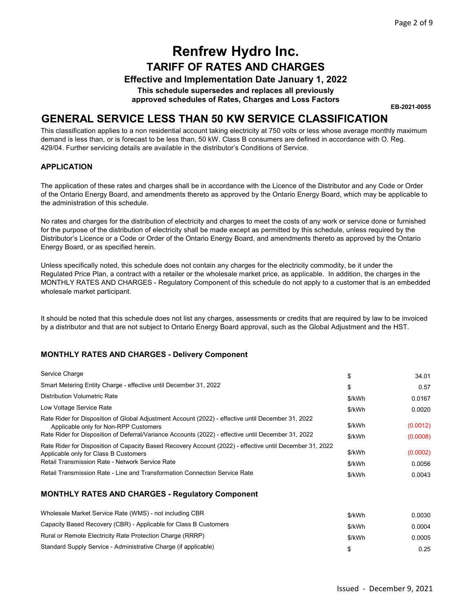#### Effective and Implementation Date January 1, 2022

This schedule supersedes and replaces all previously approved schedules of Rates, Charges and Loss Factors

EB-2021-0055

### GENERAL SERVICE LESS THAN 50 KW SERVICE CLASSIFICATION

This classification applies to a non residential account taking electricity at 750 volts or less whose average monthly maximum demand is less than, or is forecast to be less than, 50 kW. Class B consumers are defined in accordance with O. Reg. 429/04. Further servicing details are available in the distributor's Conditions of Service.

#### APPLICATION

The application of these rates and charges shall be in accordance with the Licence of the Distributor and any Code or Order of the Ontario Energy Board, and amendments thereto as approved by the Ontario Energy Board, which may be applicable to the administration of this schedule.

No rates and charges for the distribution of electricity and charges to meet the costs of any work or service done or furnished for the purpose of the distribution of electricity shall be made except as permitted by this schedule, unless required by the Distributor's Licence or a Code or Order of the Ontario Energy Board, and amendments thereto as approved by the Ontario Energy Board, or as specified herein.

Unless specifically noted, this schedule does not contain any charges for the electricity commodity, be it under the Regulated Price Plan, a contract with a retailer or the wholesale market price, as applicable. In addition, the charges in the MONTHLY RATES AND CHARGES - Regulatory Component of this schedule do not apply to a customer that is an embedded wholesale market participant.

It should be noted that this schedule does not list any charges, assessments or credits that are required by law to be invoiced by a distributor and that are not subject to Ontario Energy Board approval, such as the Global Adjustment and the HST.

#### MONTHLY RATES AND CHARGES - Delivery Component

| Service Charge                                                                                                                                                                                                                                     | \$               | 34.01                |
|----------------------------------------------------------------------------------------------------------------------------------------------------------------------------------------------------------------------------------------------------|------------------|----------------------|
| Smart Metering Entity Charge - effective until December 31, 2022                                                                                                                                                                                   | \$               | 0.57                 |
| Distribution Volumetric Rate                                                                                                                                                                                                                       | \$/kWh           | 0.0167               |
| Low Voltage Service Rate                                                                                                                                                                                                                           | \$/kWh           | 0.0020               |
| Rate Rider for Disposition of Global Adjustment Account (2022) - effective until December 31, 2022<br>Applicable only for Non-RPP Customers<br>Rate Rider for Disposition of Deferral/Variance Accounts (2022) - effective until December 31, 2022 | \$/kWh<br>\$/kWh | (0.0012)<br>(0.0008) |
| Rate Rider for Disposition of Capacity Based Recovery Account (2022) - effective until December 31, 2022<br>Applicable only for Class B Customers<br>Retail Transmission Rate - Network Service Rate                                               | \$/kWh<br>\$/kWh | (0.0002)<br>0.0056   |
| Retail Transmission Rate - Line and Transformation Connection Service Rate                                                                                                                                                                         | \$/kWh           | 0.0043               |

| Wholesale Market Service Rate (WMS) - not including CBR          | \$/kWh | 0.0030 |
|------------------------------------------------------------------|--------|--------|
| Capacity Based Recovery (CBR) - Applicable for Class B Customers | \$/kWh | 0.0004 |
| Rural or Remote Electricity Rate Protection Charge (RRRP)        | \$/kWh | 0.0005 |
| Standard Supply Service - Administrative Charge (if applicable)  |        | 0.25   |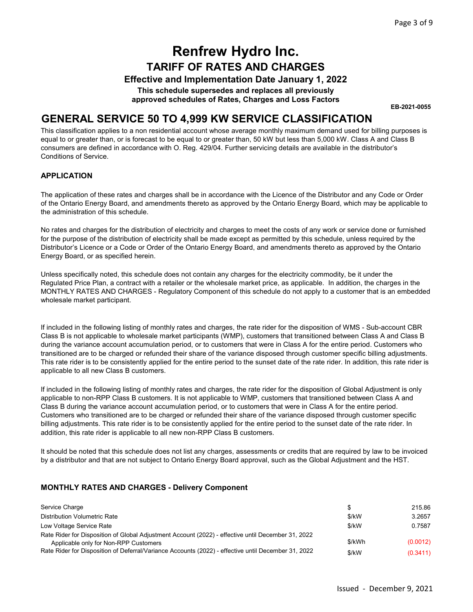Effective and Implementation Date January 1, 2022

This schedule supersedes and replaces all previously approved schedules of Rates, Charges and Loss Factors

EB-2021-0055

### GENERAL SERVICE 50 TO 4,999 KW SERVICE CLASSIFICATION

This classification applies to a non residential account whose average monthly maximum demand used for billing purposes is equal to or greater than, or is forecast to be equal to or greater than, 50 kW but less than 5,000 kW. Class A and Class B consumers are defined in accordance with O. Reg. 429/04. Further servicing details are available in the distributor's Conditions of Service.

#### APPLICATION

The application of these rates and charges shall be in accordance with the Licence of the Distributor and any Code or Order of the Ontario Energy Board, and amendments thereto as approved by the Ontario Energy Board, which may be applicable to the administration of this schedule.

No rates and charges for the distribution of electricity and charges to meet the costs of any work or service done or furnished for the purpose of the distribution of electricity shall be made except as permitted by this schedule, unless required by the Distributor's Licence or a Code or Order of the Ontario Energy Board, and amendments thereto as approved by the Ontario Energy Board, or as specified herein.

Unless specifically noted, this schedule does not contain any charges for the electricity commodity, be it under the Regulated Price Plan, a contract with a retailer or the wholesale market price, as applicable. In addition, the charges in the MONTHLY RATES AND CHARGES - Regulatory Component of this schedule do not apply to a customer that is an embedded wholesale market participant.

If included in the following listing of monthly rates and charges, the rate rider for the disposition of WMS - Sub-account CBR Class B is not applicable to wholesale market participants (WMP), customers that transitioned between Class A and Class B during the variance account accumulation period, or to customers that were in Class A for the entire period. Customers who transitioned are to be charged or refunded their share of the variance disposed through customer specific billing adjustments. This rate rider is to be consistently applied for the entire period to the sunset date of the rate rider. In addition, this rate rider is applicable to all new Class B customers.

If included in the following listing of monthly rates and charges, the rate rider for the disposition of Global Adjustment is only applicable to non-RPP Class B customers. It is not applicable to WMP, customers that transitioned between Class A and Class B during the variance account accumulation period, or to customers that were in Class A for the entire period. Customers who transitioned are to be charged or refunded their share of the variance disposed through customer specific billing adjustments. This rate rider is to be consistently applied for the entire period to the sunset date of the rate rider. In addition, this rate rider is applicable to all new non-RPP Class B customers.

It should be noted that this schedule does not list any charges, assessments or credits that are required by law to be invoiced by a distributor and that are not subject to Ontario Energy Board approval, such as the Global Adjustment and the HST.

#### MONTHLY RATES AND CHARGES - Delivery Component

| Service Charge                                                                                                                              |        | 215.86   |
|---------------------------------------------------------------------------------------------------------------------------------------------|--------|----------|
| Distribution Volumetric Rate                                                                                                                | \$/kW  | 3.2657   |
| Low Voltage Service Rate                                                                                                                    | \$/kW  | 0.7587   |
| Rate Rider for Disposition of Global Adjustment Account (2022) - effective until December 31, 2022<br>Applicable only for Non-RPP Customers | \$/kWh | (0.0012) |
| Rate Rider for Disposition of Deferral/Variance Accounts (2022) - effective until December 31, 2022                                         | \$/kW  | (0.3411) |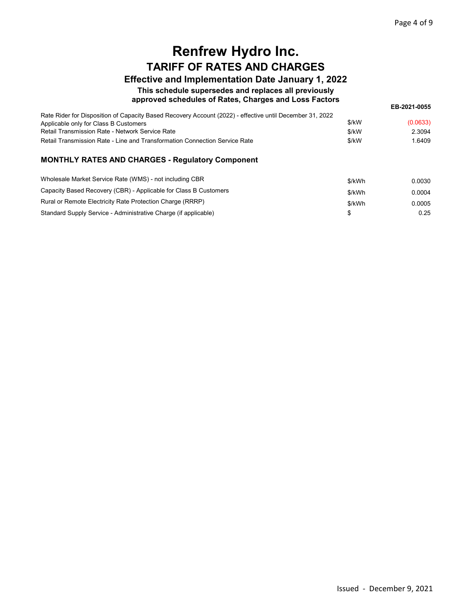### Effective and Implementation Date January 1, 2022

This schedule supersedes and replaces all previously

#### approved schedules of Rates, Charges and Loss Factors

EB-2021-0055

| Rate Rider for Disposition of Capacity Based Recovery Account (2022) - effective until December 31, 2022 |       |          |
|----------------------------------------------------------------------------------------------------------|-------|----------|
| Applicable only for Class B Customers                                                                    | \$/kW | (0.0633) |
| Retail Transmission Rate - Network Service Rate                                                          | \$/kW | 2.3094   |
| Retail Transmission Rate - Line and Transformation Connection Service Rate                               | \$/kW | .6409    |
|                                                                                                          |       |          |

| Wholesale Market Service Rate (WMS) - not including CBR          | \$/kWh | 0.0030 |
|------------------------------------------------------------------|--------|--------|
| Capacity Based Recovery (CBR) - Applicable for Class B Customers | \$/kWh | 0.0004 |
| Rural or Remote Electricity Rate Protection Charge (RRRP)        | \$/kWh | 0.0005 |
| Standard Supply Service - Administrative Charge (if applicable)  |        | 0.25   |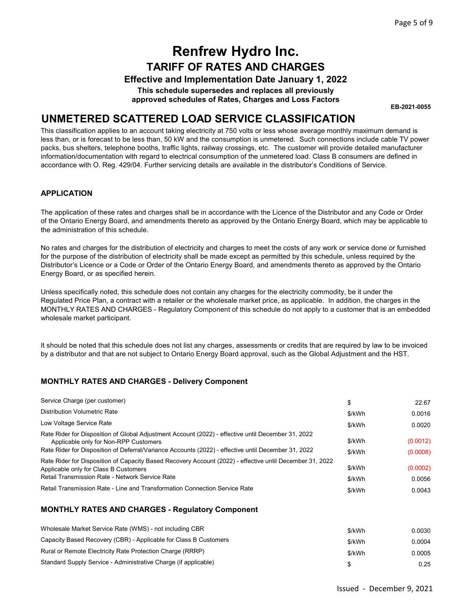#### Effective and Implementation Date January 1, 2022

This schedule supersedes and replaces all previously approved schedules of Rates, Charges and Loss Factors

EB-2021-0055

### UNMETERED SCATTERED LOAD SERVICE CLASSIFICATION

This classification applies to an account taking electricity at 750 volts or less whose average monthly maximum demand is less than, or is forecast to be less than, 50 kW and the consumption is unmetered. Such connections include cable TV power packs, bus shelters, telephone booths, traffic lights, railway crossings, etc. The customer will provide detailed manufacturer information/documentation with regard to electrical consumption of the unmetered load. Class B consumers are defined in accordance with O. Reg. 429/04. Further servicing details are available in the distributor's Conditions of Service.

#### APPLICATION

The application of these rates and charges shall be in accordance with the Licence of the Distributor and any Code or Order of the Ontario Energy Board, and amendments thereto as approved by the Ontario Energy Board, which may be applicable to the administration of this schedule.

No rates and charges for the distribution of electricity and charges to meet the costs of any work or service done or furnished for the purpose of the distribution of electricity shall be made except as permitted by this schedule, unless required by the Distributor's Licence or a Code or Order of the Ontario Energy Board, and amendments thereto as approved by the Ontario Energy Board, or as specified herein.

Unless specifically noted, this schedule does not contain any charges for the electricity commodity, be it under the Regulated Price Plan, a contract with a retailer or the wholesale market price, as applicable. In addition, the charges in the MONTHLY RATES AND CHARGES - Regulatory Component of this schedule do not apply to a customer that is an embedded wholesale market participant.

It should be noted that this schedule does not list any charges, assessments or credits that are required by law to be invoiced by a distributor and that are not subject to Ontario Energy Board approval, such as the Global Adjustment and the HST.

#### MONTHLY RATES AND CHARGES - Delivery Component

| Service Charge (per customer)                                                                                                                                                                                                                      | \$               | 22.67                |
|----------------------------------------------------------------------------------------------------------------------------------------------------------------------------------------------------------------------------------------------------|------------------|----------------------|
| Distribution Volumetric Rate                                                                                                                                                                                                                       | \$/kWh           | 0.0016               |
| Low Voltage Service Rate                                                                                                                                                                                                                           | \$/kWh           | 0.0020               |
| Rate Rider for Disposition of Global Adjustment Account (2022) - effective until December 31, 2022<br>Applicable only for Non-RPP Customers<br>Rate Rider for Disposition of Deferral/Variance Accounts (2022) - effective until December 31, 2022 | \$/kWh<br>\$/kWh | (0.0012)<br>(0.0008) |
| Rate Rider for Disposition of Capacity Based Recovery Account (2022) - effective until December 31, 2022<br>Applicable only for Class B Customers<br>Retail Transmission Rate - Network Service Rate                                               | \$/kWh<br>\$/kWh | (0.0002)<br>0.0056   |
| Retail Transmission Rate - Line and Transformation Connection Service Rate                                                                                                                                                                         | \$/kWh           | 0.0043               |

| Wholesale Market Service Rate (WMS) - not including CBR          | \$/kWh | 0.0030 |
|------------------------------------------------------------------|--------|--------|
| Capacity Based Recovery (CBR) - Applicable for Class B Customers | \$/kWh | 0.0004 |
| Rural or Remote Electricity Rate Protection Charge (RRRP)        | \$/kWh | 0.0005 |
| Standard Supply Service - Administrative Charge (if applicable)  |        | 0.25   |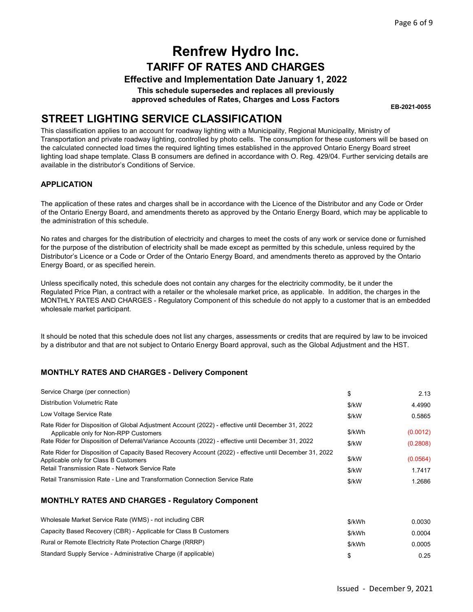#### Effective and Implementation Date January 1, 2022

This schedule supersedes and replaces all previously approved schedules of Rates, Charges and Loss Factors

EB-2021-0055

### STREET LIGHTING SERVICE CLASSIFICATION

This classification applies to an account for roadway lighting with a Municipality, Regional Municipality, Ministry of Transportation and private roadway lighting, controlled by photo cells. The consumption for these customers will be based on the calculated connected load times the required lighting times established in the approved Ontario Energy Board street lighting load shape template. Class B consumers are defined in accordance with O. Reg. 429/04. Further servicing details are available in the distributor's Conditions of Service.

#### APPLICATION

The application of these rates and charges shall be in accordance with the Licence of the Distributor and any Code or Order of the Ontario Energy Board, and amendments thereto as approved by the Ontario Energy Board, which may be applicable to the administration of this schedule.

No rates and charges for the distribution of electricity and charges to meet the costs of any work or service done or furnished for the purpose of the distribution of electricity shall be made except as permitted by this schedule, unless required by the Distributor's Licence or a Code or Order of the Ontario Energy Board, and amendments thereto as approved by the Ontario Energy Board, or as specified herein.

Unless specifically noted, this schedule does not contain any charges for the electricity commodity, be it under the Regulated Price Plan, a contract with a retailer or the wholesale market price, as applicable. In addition, the charges in the MONTHLY RATES AND CHARGES - Regulatory Component of this schedule do not apply to a customer that is an embedded wholesale market participant.

It should be noted that this schedule does not list any charges, assessments or credits that are required by law to be invoiced by a distributor and that are not subject to Ontario Energy Board approval, such as the Global Adjustment and the HST.

#### MONTHLY RATES AND CHARGES - Delivery Component

| Service Charge (per connection)                                                                                                                                                                                                                    | \$                | 2.13                 |
|----------------------------------------------------------------------------------------------------------------------------------------------------------------------------------------------------------------------------------------------------|-------------------|----------------------|
| Distribution Volumetric Rate                                                                                                                                                                                                                       | \$/kW             | 4.4990               |
| Low Voltage Service Rate                                                                                                                                                                                                                           | \$/kW             | 0.5865               |
| Rate Rider for Disposition of Global Adjustment Account (2022) - effective until December 31, 2022<br>Applicable only for Non-RPP Customers<br>Rate Rider for Disposition of Deferral/Variance Accounts (2022) - effective until December 31, 2022 | \$/kWh<br>$$$ /kW | (0.0012)<br>(0.2808) |
| Rate Rider for Disposition of Capacity Based Recovery Account (2022) - effective until December 31, 2022<br>Applicable only for Class B Customers<br>Retail Transmission Rate - Network Service Rate                                               | \$/kW<br>\$/kW    | (0.0564)<br>1.7417   |
| Retail Transmission Rate - Line and Transformation Connection Service Rate                                                                                                                                                                         | \$/kW             | 1.2686               |

| Wholesale Market Service Rate (WMS) - not including CBR          | \$/kWh | 0.0030 |
|------------------------------------------------------------------|--------|--------|
| Capacity Based Recovery (CBR) - Applicable for Class B Customers | \$/kWh | 0.0004 |
| Rural or Remote Electricity Rate Protection Charge (RRRP)        | \$/kWh | 0.0005 |
| Standard Supply Service - Administrative Charge (if applicable)  |        | 0.25   |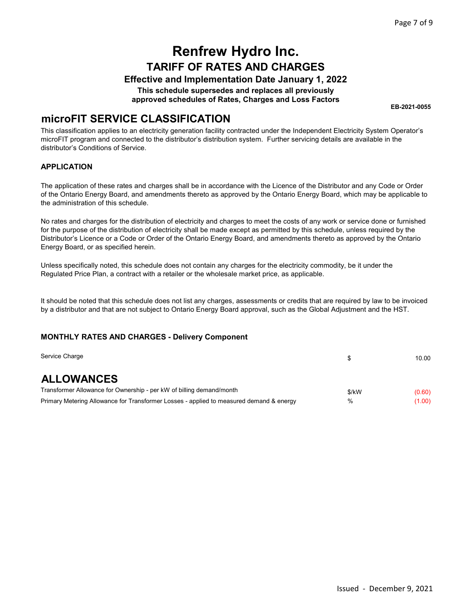#### Effective and Implementation Date January 1, 2022

This schedule supersedes and replaces all previously

approved schedules of Rates, Charges and Loss Factors

EB-2021-0055

### microFIT SERVICE CLASSIFICATION

This classification applies to an electricity generation facility contracted under the Independent Electricity System Operator's microFIT program and connected to the distributor's distribution system. Further servicing details are available in the distributor's Conditions of Service.

#### APPLICATION

The application of these rates and charges shall be in accordance with the Licence of the Distributor and any Code or Order of the Ontario Energy Board, and amendments thereto as approved by the Ontario Energy Board, which may be applicable to the administration of this schedule.

No rates and charges for the distribution of electricity and charges to meet the costs of any work or service done or furnished for the purpose of the distribution of electricity shall be made except as permitted by this schedule, unless required by the Distributor's Licence or a Code or Order of the Ontario Energy Board, and amendments thereto as approved by the Ontario Energy Board, or as specified herein.

Unless specifically noted, this schedule does not contain any charges for the electricity commodity, be it under the Regulated Price Plan, a contract with a retailer or the wholesale market price, as applicable.

It should be noted that this schedule does not list any charges, assessments or credits that are required by law to be invoiced by a distributor and that are not subject to Ontario Energy Board approval, such as the Global Adjustment and the HST.

#### MONTHLY RATES AND CHARGES - Delivery Component

| Service Charge                                                                          |       | 10.00  |
|-----------------------------------------------------------------------------------------|-------|--------|
| <b>ALLOWANCES</b>                                                                       |       |        |
| Transformer Allowance for Ownership - per kW of billing demand/month                    | \$/kW | (0.60) |
| Primary Metering Allowance for Transformer Losses - applied to measured demand & energy | %     | (1.00) |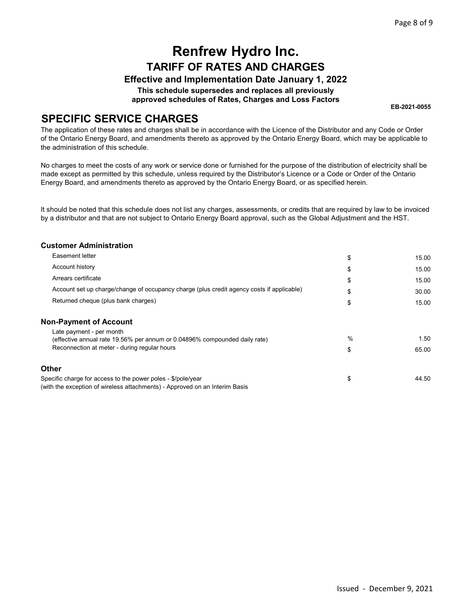### Effective and Implementation Date January 1, 2022

This schedule supersedes and replaces all previously

approved schedules of Rates, Charges and Loss Factors

EB-2021-0055

### SPECIFIC SERVICE CHARGES

The application of these rates and charges shall be in accordance with the Licence of the Distributor and any Code or Order of the Ontario Energy Board, and amendments thereto as approved by the Ontario Energy Board, which may be applicable to the administration of this schedule.

No charges to meet the costs of any work or service done or furnished for the purpose of the distribution of electricity shall be made except as permitted by this schedule, unless required by the Distributor's Licence or a Code or Order of the Ontario Energy Board, and amendments thereto as approved by the Ontario Energy Board, or as specified herein.

It should be noted that this schedule does not list any charges, assessments, or credits that are required by law to be invoiced by a distributor and that are not subject to Ontario Energy Board approval, such as the Global Adjustment and the HST.

| <b>Customer Administration</b>                                                                                                              |    |       |
|---------------------------------------------------------------------------------------------------------------------------------------------|----|-------|
| Easement letter                                                                                                                             | \$ | 15.00 |
| Account history                                                                                                                             | \$ | 15.00 |
| Arrears certificate                                                                                                                         | \$ | 15.00 |
| Account set up charge/change of occupancy charge (plus credit agency costs if applicable)                                                   | S  | 30.00 |
| Returned cheque (plus bank charges)                                                                                                         | \$ | 15.00 |
| <b>Non-Payment of Account</b>                                                                                                               |    |       |
| Late payment - per month<br>(effective annual rate 19.56% per annum or 0.04896% compounded daily rate)                                      | %  | 1.50  |
| Reconnection at meter - during regular hours                                                                                                | \$ | 65.00 |
| <b>Other</b>                                                                                                                                |    |       |
| Specific charge for access to the power poles - \$/pole/year<br>(with the exception of wireless attachments) - Approved on an Interim Basis | \$ | 44.50 |